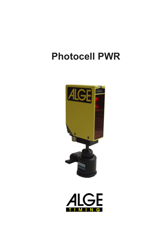

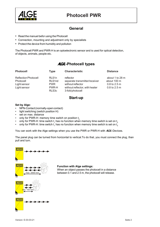

### **General**

- Read the manuel befor using the Photocell
- Connection, mounting and adjustment only by specialists
- Protect the device from humidity and pollution

The Photocell PWR and PWR-H is an optoelectronic sensor and is used for optical detection, of objects, animals, people etc.

# ALGE**-Photocell types**

| <b>Photocell</b>            | <b>Type</b>        | <b>Characteristic</b>          | <b>Distance</b> |
|-----------------------------|--------------------|--------------------------------|-----------------|
| <b>Reflection Photocell</b> | RLS <sub>1n</sub>  | reflector                      | about 1 to 28 m |
| Photocell                   | RLS1nd             | separate transmitter/receiver  | about 100 m     |
| Light sensor                | <b>PWR</b>         | without reflector              | $0.8$ to 2.5 m  |
| Light sensor                | PWR-H              | without reflector, with heater | $0.8$ to 2.5 m  |
|                             | RLS <sub>3</sub> c | 3-fold photocell               |                 |

### **Start-up**

#### **Set by Alge:**

- NPN-Contact (normally-open contact)
- light switching (switch position H)
- set on max. distance
- only for PWR-H: memory time switch on position  $t_0$
- only for PWR-H: time switch  $\mathfrak{t}_1$  has no function when memory time switch is set on  $\mathfrak{t}_\mathfrak{g}$
- only for PWR-H: time switch  $\mathfrak{t}_1$  has no function when memory time switch is set on  $\mathfrak{t}_\mathfrak{g}$

You can work with the Alge settings when you use the PWR or PWR-H with ALGE-Devices.

The panel plug can be turned from horizontal to vertical.To do that, you must connect the plug, than pull and turn.



### **Function with Alge settings:**

When an object passes the photocell in a distance between 0.1 and 2.5 m, the photocell will release.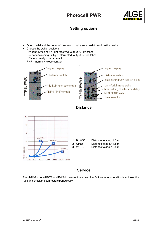

# **Setting options**

- Open the lid and the cover of the sensor, make sure no dirt gets into the device.
- Choose the switch positions  $H =$  light-switching; if light received, output  $(Q)$  switches  $D =$  dark-switching ; if light interrupted, output (Q) switches NPN = normally-open contact PNP = normally-close contact







### **Service**

The ALGE-Photocell PWR and PWR-H does not need service. But we recommend to clean the optical face and check the connectors periodically.